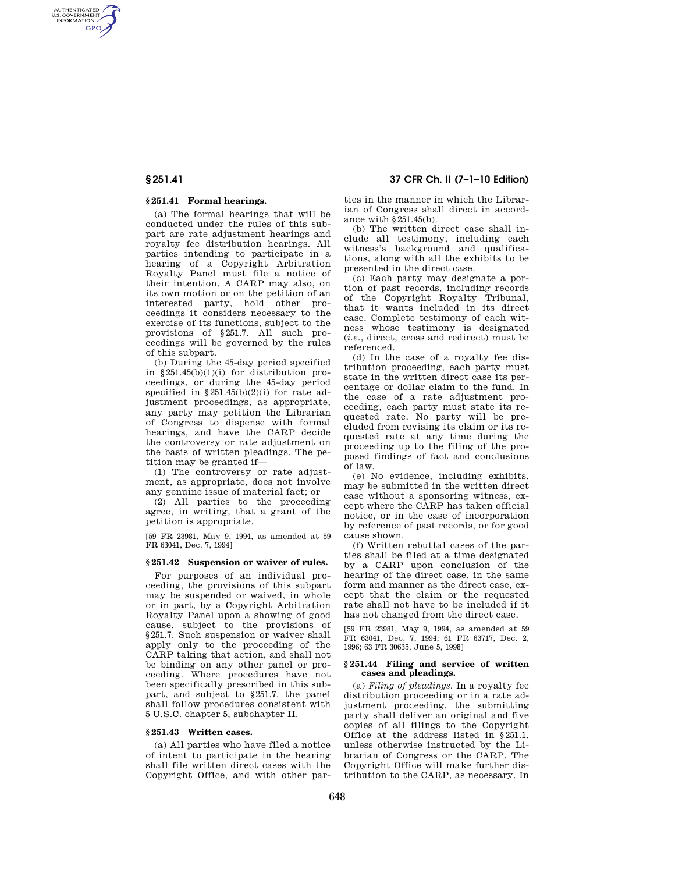AUTHENTICATED<br>U.S. GOVERNMENT<br>INFORMATION **GPO** 

# **§ 251.41 Formal hearings.**

(a) The formal hearings that will be conducted under the rules of this subpart are rate adjustment hearings and royalty fee distribution hearings. All parties intending to participate in a hearing of a Copyright Arbitration Royalty Panel must file a notice of their intention. A CARP may also, on its own motion or on the petition of an interested party, hold other proceedings it considers necessary to the exercise of its functions, subject to the provisions of §251.7. All such proceedings will be governed by the rules of this subpart.

(b) During the 45-day period specified in  $§251.45(b)(1)(i)$  for distribution proceedings, or during the 45-day period specified in §251.45(b)(2)(i) for rate adjustment proceedings, as appropriate, any party may petition the Librarian of Congress to dispense with formal hearings, and have the CARP decide the controversy or rate adjustment on the basis of written pleadings. The petition may be granted if—

(1) The controversy or rate adjustment, as appropriate, does not involve any genuine issue of material fact; or

(2) All parties to the proceeding agree, in writing, that a grant of the petition is appropriate.

[59 FR 23981, May 9, 1994, as amended at 59 FR 63041, Dec. 7, 1994]

# **§ 251.42 Suspension or waiver of rules.**

For purposes of an individual proceeding, the provisions of this subpart may be suspended or waived, in whole or in part, by a Copyright Arbitration Royalty Panel upon a showing of good cause, subject to the provisions of §251.7. Such suspension or waiver shall apply only to the proceeding of the CARP taking that action, and shall not be binding on any other panel or proceeding. Where procedures have not been specifically prescribed in this subpart, and subject to §251.7, the panel shall follow procedures consistent with 5 U.S.C. chapter 5, subchapter II.

### **§ 251.43 Written cases.**

(a) All parties who have filed a notice of intent to participate in the hearing shall file written direct cases with the Copyright Office, and with other par-

**§ 251.41 37 CFR Ch. II (7–1–10 Edition)** 

ties in the manner in which the Librarian of Congress shall direct in accordance with §251.45(b).

(b) The written direct case shall include all testimony, including each witness's background and qualifications, along with all the exhibits to be presented in the direct case.

(c) Each party may designate a portion of past records, including records of the Copyright Royalty Tribunal, that it wants included in its direct case. Complete testimony of each witness whose testimony is designated (*i.e.*, direct, cross and redirect) must be referenced.

(d) In the case of a royalty fee distribution proceeding, each party must state in the written direct case its percentage or dollar claim to the fund. In the case of a rate adjustment proceeding, each party must state its requested rate. No party will be precluded from revising its claim or its requested rate at any time during the proceeding up to the filing of the proposed findings of fact and conclusions of law.

(e) No evidence, including exhibits, may be submitted in the written direct case without a sponsoring witness, except where the CARP has taken official notice, or in the case of incorporation by reference of past records, or for good cause shown.

(f) Written rebuttal cases of the parties shall be filed at a time designated by a CARP upon conclusion of the hearing of the direct case, in the same form and manner as the direct case, except that the claim or the requested rate shall not have to be included if it has not changed from the direct case.

[59 FR 23981, May 9, 1994, as amended at 59 FR 63041, Dec. 7, 1994; 61 FR 63717, Dec. 2, 1996; 63 FR 30635, June 5, 1998]

### **§ 251.44 Filing and service of written cases and pleadings.**

(a) *Filing of pleadings.* In a royalty fee distribution proceeding or in a rate adjustment proceeding, the submitting party shall deliver an original and five copies of all filings to the Copyright Office at the address listed in §251.1, unless otherwise instructed by the Librarian of Congress or the CARP. The Copyright Office will make further distribution to the CARP, as necessary. In